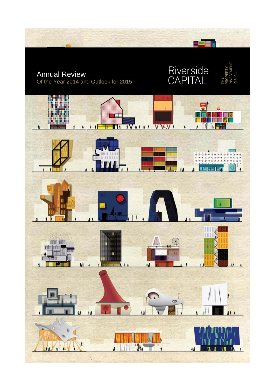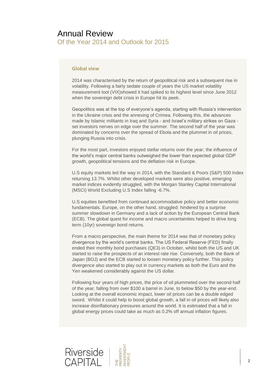#### **Global view**

2014 was characterised by the return of geopolitical risk and a subsequent rise in volatility. Following a fairly sedate couple of years the US market volatility measurement tool (VIX)showed it had spiked to its highest level since June 2012 when the sovereign debt crisis in Europe hit its peek.

Geopolitics was at the top of everyone's agenda, starting with Russia's intervention in the Ukraine crisis and the annexing of Crimea. Following this, the advances made by Islamic militants in Iraq and Syria - and Israel's military strikes on Gaza set investors nerves on edge over the summer. The second half of the year was dominated by concerns over the spread of Ebola and the plummet in oil prices, plunging Russia into crisis.

For the most part, investors enjoyed stellar returns over the year; the influence of the world's major central banks outweighed the lower than expected global GDP growth, geopolitical tensions and the deflation risk in Europe.

U.S equity markets led the way in 2014, with the Standard & Poors (S&P) 500 Index returning 13.7%. Whilst other developed markets were also positive, emerging market indices evidently struggled, with the Morgan Stanley Capital International (MSCI) World Excluding U.S Index falling -6.7%.

U.S equities benefited from continued accommodative policy and better economic fundamentals. Europe, on the other hand, struggled: hindered by a surprise summer slowdown in Germany and a lack of action by the European Central Bank (ECB). The global quest for income and macro uncertainties helped to drive long term (10yr) sovereign bond returns.

From a macro perspective, the main theme for 2014 was that of monetary policy divergence by the world's central banks. The US Federal Reserve (FED) finally ended their monthly bond purchases (QE3) in October, whilst both the US and UK started to raise the prospects of an interest rate rise. Conversely, both the Bank of Japan (BOJ) and the ECB started to loosen monetary policy further. This policy divergence also started to play out in currency markets as both the Euro and the Yen weakened considerably against the US dollar.

Following four years of high prices, the price of oil plummeted over the second half of the year, falling from over \$100 a barrel in June, to below \$50 by the year-end. Looking at the overall economic impact, lower oil prices can be a double edged sword. Whilst it could help to boost global growth, a fall in oil prices will likely also increase disinflationary pressures around the world. It is estimated that a fall in global energy prices could take as much as 0.2% off annual inflation figures.

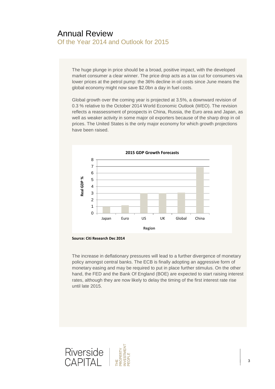The huge plunge in price should be a broad, positive impact, with the developed market consumer a clear winner. The price drop acts as a tax cut for consumers via lower prices at the petrol pump: the 36% decline in oil costs since June means the global economy might now save \$2.0bn a day in fuel costs.

Global growth over the coming year is projected at 3.5%, a downward revision of 0.3 % relative to the October 2014 World Economic Outlook (WEO). The revision reflects a reassessment of prospects in China, Russia, the Euro area and Japan, as well as weaker activity in some major oil exporters because of the sharp drop in oil prices. The United States is the only major economy for which growth projections have been raised.



**Source: Citi Research Dec 2014**

The increase in deflationary pressures will lead to a further divergence of monetary policy amongst central banks. The ECB is finally adopting an aggressive form of monetary easing and may be required to put in place further stimulus. On the other hand, the FED and the Bank Of England (BOE) are expected to start raising interest rates, although they are now likely to delay the timing of the first interest rate rise until late 2015.

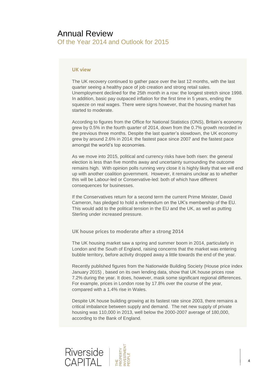#### **UK view**

The UK recovery continued to gather pace over the last 12 months, with the last quarter seeing a healthy pace of job creation and strong retail sales. Unemployment declined for the 25th month in a row: the longest stretch since 1998. In addition, basic pay outpaced inflation for the first time in 5 years, ending the squeeze on real wages. There were signs however, that the housing market has started to moderate.

According to figures from the Office for National Statistics (ONS), Britain's economy grew by 0.5% in the fourth quarter of 2014, down from the 0.7% growth recorded in the previous three months. Despite the last quarter's slowdown, the UK economy grew by around 2.6% in 2014: the fastest pace since 2007 and the fastest pace amongst the world's top economies.

As we move into 2015, political and currency risks have both risen: the general election is less than five months away and uncertainty surrounding the outcome remains high. With opinion polls running very close it is highly likely that we will end up with another coalition government. However, it remains unclear as to whether this will be Labour-led or Conservative-led: both of which have different consequences for businesses.

If the Conservatives return for a second term the current Prime Minister, David Cameron, has pledged to hold a referendum on the UK's membership of the EU. This would add to the political tension in the EU and the UK, as well as putting Sterling under increased pressure.

**UK house prices to moderate after a strong 2014**

The UK housing market saw a spring and summer boom in 2014, particularly in London and the South of England, raising concerns that the market was entering bubble territory, before activity dropped away a little towards the end of the year.

Recently published figures from the Nationwide Building Society (House price index January 2015) , based on its own lending data, show that UK house prices rose 7.2% during the year. It does, however, mask some significant regional differences. For example, prices in London rose by 17.8% over the course of the year, compared with a 1.4% rise in Wales.

Despite UK house building growing at its fastest rate since 2003, there remains a critical imbalance between supply and demand. The net new supply of private housing was 110,000 in 2013, well below the 2000-2007 average of 180,000, according to the Bank of England.

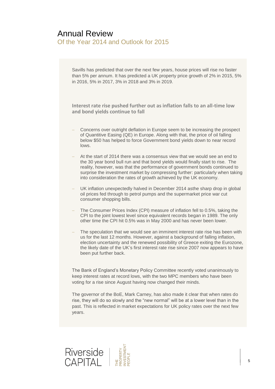Savills has predicted that over the next few years, house prices will rise no faster than 5% per annum. It has predicted a UK property price growth of 2% in 2015, 5% in 2016, 5% in 2017, 3% in 2018 and 3% in 2019.

**Interest rate rise pushed further out as inflation falls to an all-time low and bond yields continue to fall**

- Concerns over outright deflation in Europe seem to be increasing the prospect of Quantitive Easing (QE) in Europe. Along with that, the price of oil falling below \$50 has helped to force Government bond yields down to near record lows.
- At the start of 2014 there was a consensus view that we would see an end to the 30 year bond bull run and that bond yields would finally start to rise. The reality, however, was that the performance of government bonds continued to surprise the investment market by compressing further: particularly when taking into consideration the rates of growth achieved by the UK economy.
- UK inflation unexpectedly halved in December 2014 asthe sharp drop in global oil prices fed through to petrol pumps and the supermarket price war cut consumer shopping bills.
- The Consumer Prices Index (CPI) measure of inflation fell to 0.5%, taking the CPI to the joint lowest level since equivalent records began in 1989. The only other time the CPI hit 0.5% was in May 2000 and has never been lower.
- The speculation that we would see an imminent interest rate rise has been with us for the last 12 months. However, against a background of falling inflation, election uncertainty and the renewed possibility of Greece exiting the Eurozone, the likely date of the UK's first interest rate rise since 2007 now appears to have been put further back.

The Bank of England's Monetary Policy Committee recently voted unanimously to keep interest rates at record lows, with the two MPC members who have been voting for a rise since August having now changed their minds.

The governor of the BoE, Mark Carney, has also made it clear that when rates do rise, they will do so slowly and the "new normal" will be at a lower level than in the past. This is reflected in market expectations for UK policy rates over the next few years.

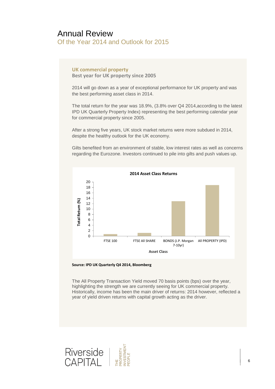### **UK commercial property**

**Best year for UK property since 2005**

2014 will go down as a year of exceptional performance for UK property and was the best performing asset class in 2014.

The total return for the year was 18.9%, (3.8% over Q4 2014,according to the latest IPD UK Quarterly Property Index) representing the best performing calendar year for commercial property since 2005.

After a strong five years, UK stock market returns were more subdued in 2014, despite the healthy outlook for the UK economy.

Gilts benefited from an environment of stable, low interest rates as well as concerns regarding the Eurozone. Investors continued to pile into gilts and push values up.



**Source: IPD UK Quarterly Q4 2014, Bloomberg**

The All Property Transaction Yield moved 70 basis points (bps) over the year, highlighting the strength we are currently seeing for UK commercial property. Historically, income has been the main driver of returns: 2014 however, reflected a year of yield driven returns with capital growth acting as the driver.

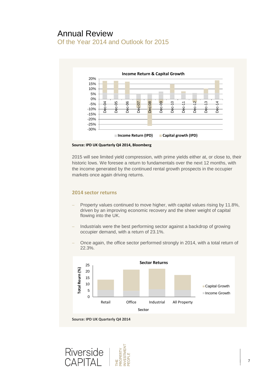

**Source: IPD UK Quarterly Q4 2014, Bloomberg** 

2015 will see limited yield compression, with prime yields either at, or close to, their historic lows. We foresee a return to fundamentals over the next 12 months, with the income generated by the continued rental growth prospects in the occupier markets once again driving returns.

#### **2014 sector returns**

- Property values continued to move higher, with capital values rising by 11.8%, driven by an improving economic recovery and the sheer weight of capital flowing into the UK.
- Industrials were the best performing sector against a backdrop of growing occupier demand, with a return of 23.1%.
- Once again, the office sector performed strongly in 2014, with a total return of 22.3%.



THE<br>PROPERTY<br>INVESTMENT Riverside<br>CAPITAL **FOPLE**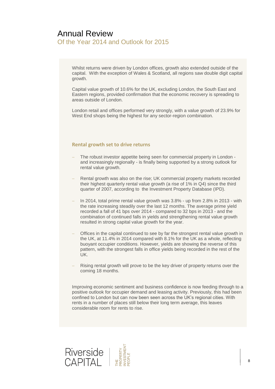Whilst returns were driven by London offices, growth also extended outside of the capital. With the exception of Wales & Scotland, all regions saw double digit capital growth.

Capital value growth of 10.6% for the UK, excluding London, the South East and Eastern regions, provided confirmation that the economic recovery is spreading to areas outside of London.

London retail and offices performed very strongly, with a value growth of 23.9% for West End shops being the highest for any sector-region combination.

### **Rental growth set to drive returns**

- The robust investor appetite being seen for commercial property in London and increasingly regionally - is finally being supported by a strong outlook for rental value growth.
- Rental growth was also on the rise; UK commercial property markets recorded their highest quarterly rental value growth (a rise of 1% in Q4) since the third quarter of 2007, according to the Investment Property Database (IPD).
- In 2014, total prime rental value growth was 3.8% up from 2.8% in 2013 with the rate increasing steadily over the last 12 months. The average prime yield recorded a fall of 41 bps over 2014 - compared to 32 bps in 2013 - and the combination of continued falls in yields and strengthening rental value growth resulted in strong capital value growth for the year.
- Offices in the capital continued to see by far the strongest rental value growth in the UK, at 11.4% in 2014 compared with 8.1% for the UK as a whole, reflecting buoyant occupier conditions. However, yields are showing the reverse of this pattern, with the strongest falls in office yields being recorded in the rest of the UK.
- Rising rental growth will prove to be the key driver of property returns over the coming 18 months.

Improving economic sentiment and business confidence is now feeding through to a positive outlook for occupier demand and leasing activity. Previously, this had been confined to London but can now been seen across the UK's regional cities. With rents in a number of places still below their long term average, this leaves considerable room for rents to rise.

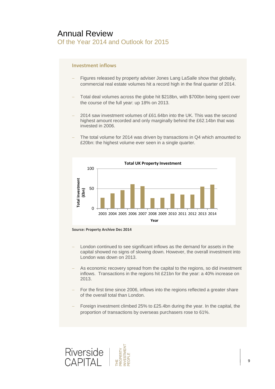### **Investment inflows**

- Figures released by property adviser Jones Lang LaSalle show that globally, commercial real estate volumes hit a record high in the final quarter of 2014.
- Total deal volumes across the globe hit \$218bn, with \$700bn being spent over the course of the full year: up 18% on 2013.
- 2014 saw investment volumes of £61.64bn into the UK. This was the second highest amount recorded and only marginally behind the £62.14bn that was invested in 2006.
- The total volume for 2014 was driven by transactions in Q4 which amounted to £20bn: the highest volume ever seen in a single quarter.





- London continued to see significant inflows as the demand for assets in the capital showed no signs of slowing down. However, the overall investment into London was down on 2013.
- As economic recovery spread from the capital to the regions, so did investment inflows. Transactions in the regions hit £21bn for the year: a 40% increase on 2013.
- For the first time since 2006, inflows into the regions reflected a greater share of the overall total than London.
- Foreign investment climbed 25% to £25.4bn during the year. In the capital, the proportion of transactions by overseas purchasers rose to 61%.

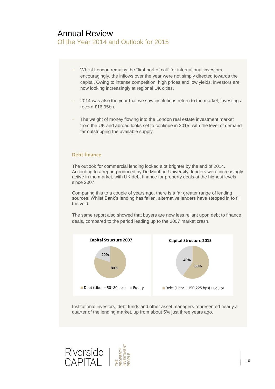- Whilst London remains the "first port of call" for international investors, encouragingly, the inflows over the year were not simply directed towards the capital. Owing to intense competition, high prices and low yields, investors are now looking increasingly at regional UK cities.
- 2014 was also the year that we saw institutions return to the market, investing a record £16.95bn.
- The weight of money flowing into the London real estate investment market from the UK and abroad looks set to continue in 2015, with the level of demand far outstripping the available supply.

#### **Debt finance**

The outlook for commercial lending looked alot brighter by the end of 2014. According to a report produced by De Montfort University, lenders were increasingly active in the market, with UK debt finance for property deals at the highest levels since 2007.

Comparing this to a couple of years ago, there is a far greater range of lending sources. Whilst Bank's lending has fallen, alternative lenders have stepped in to fill the void.

The same report also showed that buyers are now less reliant upon debt to finance deals, compared to the period leading up to the 2007 market crash.



Institutional investors, debt funds and other asset managers represented nearly a quarter of the lending market, up from about 5% just three years ago.

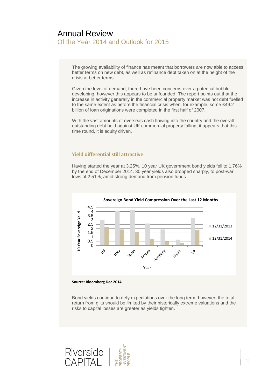The growing availability of finance has meant that borrowers are now able to access better terms on new debt, as well as refinance debt taken on at the height of the crisis at better terms.

Given the level of demand, there have been concerns over a potential bubble developing, however this appears to be unfounded. The report points out that the increase in activity generally in the commercial property market was not debt fuelled to the same extent as before the financial crisis when, for example, some £49.2 billion of loan originations were completed in the first half of 2007.

With the vast amounts of overseas cash flowing into the country and the overall outstanding debt held against UK commercial property falling; it appears that this time round, it is equity driven.

### **Yield differential still attractive**

Having started the year at 3.25%, 10 year UK government bond yields fell to 1.76% by the end of December 2014. 30 year yields also dropped sharply, to post-war lows of 2.51%, amid strong demand from pension funds.





Bond yields continue to defy expectations over the long term; however, the total return from gilts should be limited by their historically extreme valuations and the risks to capital losses are greater as yields tighten.

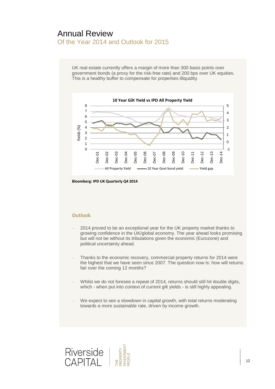UK real estate currently offers a margin of more than 300 basis points over government bonds (a proxy for the risk-free rate) and 200 bps over UK equities. This is a healthy buffer to compensate for properties illiquidity.



**Bloomberg: IPD UK Quarterly Q4 2014**

### **Outlook**

- 2014 proved to be an exceptional year for the UK property market thanks to growing confidence in the UK/global economy. The year ahead looks promising but will not be without its tribulations given the economic (Eurozone) and political uncertainty ahead.
- Thanks to the economic recovery, commercial property returns for 2014 were the highest that we have seen since 2007. The question now is: how will returns fair over the coming 12 months?
- Whilst we do not foresee a repeat of 2014, returns should still hit double digits, which - when put into context of current gilt yields - is still highly appealing.
- We expect to see a slowdown in capital growth, with total returns moderating towards a more sustainable rate, driven by income growth.

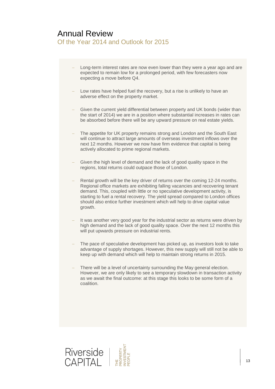- Long-term interest rates are now even lower than they were a year ago and are expected to remain low for a prolonged period, with few forecasters now expecting a move before Q4.
- Low rates have helped fuel the recovery, but a rise is unlikely to have an adverse effect on the property market.
- Given the current yield differential between property and UK bonds (wider than the start of 2014) we are in a position where substantial increases in rates can be absorbed before there will be any upward pressure on real estate yields.
- The appetite for UK property remains strong and London and the South East will continue to attract large amounts of overseas investment inflows over the next 12 months. However we now have firm evidence that capital is being actively allocated to prime regional markets.
- Given the high level of demand and the lack of good quality space in the regions, total returns could outpace those of London.
- Rental growth will be the key driver of returns over the coming 12-24 months. Regional office markets are exhibiting falling vacancies and recovering tenant demand. This, coupled with little or no speculative development activity, is starting to fuel a rental recovery. The yield spread compared to London offices should also entice further investment which will help to drive capital value growth.
- It was another very good year for the industrial sector as returns were driven by high demand and the lack of good quality space. Over the next 12 months this will put upwards pressure on industrial rents.
- The pace of speculative development has picked up, as investors look to take advantage of supply shortages. However, this new supply will still not be able to keep up with demand which will help to maintain strong returns in 2015.
- There will be a level of uncertainty surrounding the May general election. However, we are only likely to see a temporary slowdown in transaction activity as we await the final outcome: at this stage this looks to be some form of a coalition.